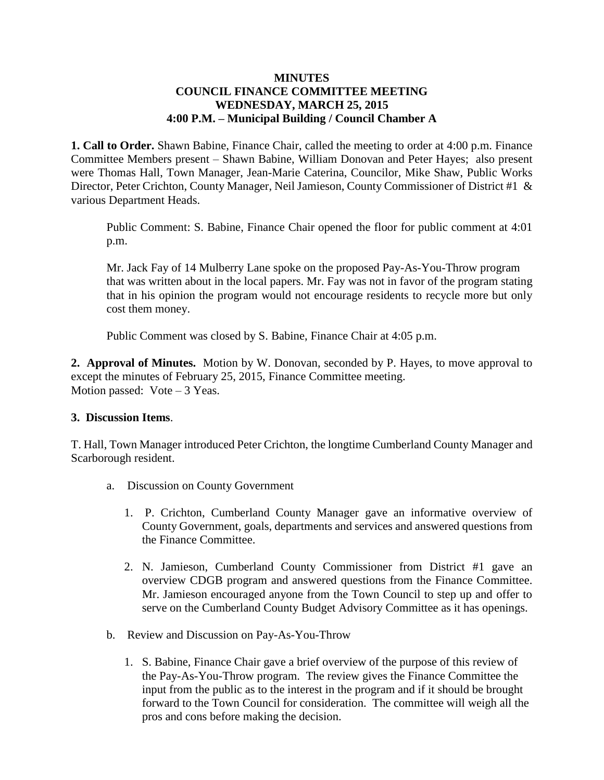## **MINUTES COUNCIL FINANCE COMMITTEE MEETING WEDNESDAY, MARCH 25, 2015 4:00 P.M. – Municipal Building / Council Chamber A**

**1. Call to Order.** Shawn Babine, Finance Chair, called the meeting to order at 4:00 p.m. Finance Committee Members present – Shawn Babine, William Donovan and Peter Hayes; also present were Thomas Hall, Town Manager, Jean-Marie Caterina, Councilor, Mike Shaw, Public Works Director, Peter Crichton, County Manager, Neil Jamieson, County Commissioner of District #1 & various Department Heads.

Public Comment: S. Babine, Finance Chair opened the floor for public comment at 4:01 p.m.

Mr. Jack Fay of 14 Mulberry Lane spoke on the proposed Pay-As-You-Throw program that was written about in the local papers. Mr. Fay was not in favor of the program stating that in his opinion the program would not encourage residents to recycle more but only cost them money.

Public Comment was closed by S. Babine, Finance Chair at 4:05 p.m.

**2. Approval of Minutes.** Motion by W. Donovan, seconded by P. Hayes, to move approval to except the minutes of February 25, 2015, Finance Committee meeting. Motion passed: Vote – 3 Yeas.

## **3. Discussion Items**.

T. Hall, Town Manager introduced Peter Crichton, the longtime Cumberland County Manager and Scarborough resident.

- a. Discussion on County Government
	- 1. P. Crichton, Cumberland County Manager gave an informative overview of County Government, goals, departments and services and answered questions from the Finance Committee.
	- 2. N. Jamieson, Cumberland County Commissioner from District #1 gave an overview CDGB program and answered questions from the Finance Committee. Mr. Jamieson encouraged anyone from the Town Council to step up and offer to serve on the Cumberland County Budget Advisory Committee as it has openings.
- b. Review and Discussion on Pay-As-You-Throw
	- 1. S. Babine, Finance Chair gave a brief overview of the purpose of this review of the Pay-As-You-Throw program. The review gives the Finance Committee the input from the public as to the interest in the program and if it should be brought forward to the Town Council for consideration. The committee will weigh all the pros and cons before making the decision.